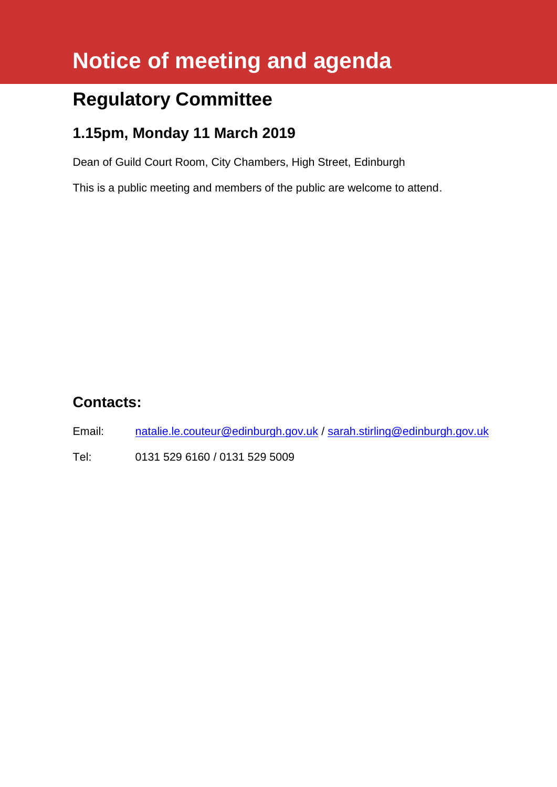# **Notice of meeting and agenda**

# **Regulatory Committee**

## **1.15pm, Monday 11 March 2019**

Dean of Guild Court Room, City Chambers, High Street, Edinburgh

This is a public meeting and members of the public are welcome to attend.

### **Contacts:**

Email: [natalie.le.couteur@edinburgh.gov.uk](mailto:natalie.le.couteur@edinburgh.gov.uk) / [sarah.stirling@edinburgh.gov.uk](mailto:sarah.stirling@edinburgh.gov.uk)

Tel: 0131 529 6160 / 0131 529 5009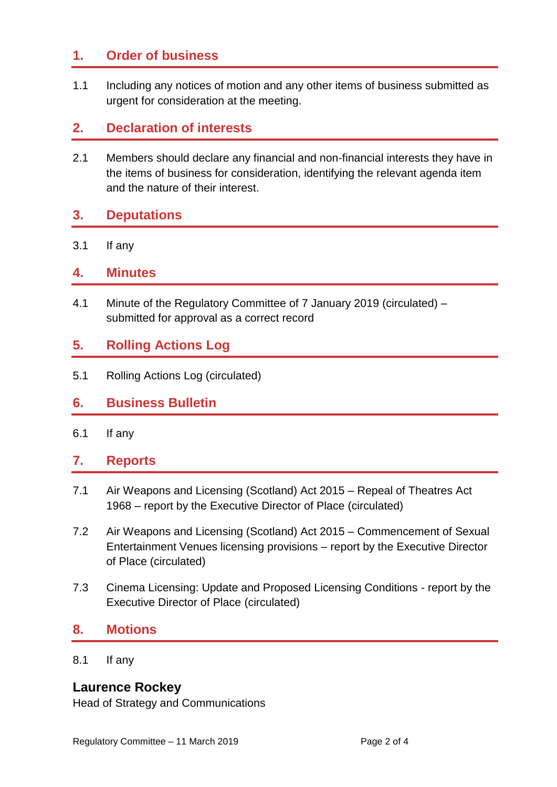#### **1. Order of business**

1.1 Including any notices of motion and any other items of business submitted as urgent for consideration at the meeting.

#### **2. Declaration of interests**

2.1 Members should declare any financial and non-financial interests they have in the items of business for consideration, identifying the relevant agenda item and the nature of their interest.

#### **3. Deputations**

3.1 If any

#### **4. Minutes**

4.1 Minute of the Regulatory Committee of 7 January 2019 (circulated) – submitted for approval as a correct record

#### **5. Rolling Actions Log**

5.1 Rolling Actions Log (circulated)

#### **6. Business Bulletin**

6.1 If any

#### **7. Reports**

- 7.1 Air Weapons and Licensing (Scotland) Act 2015 Repeal of Theatres Act 1968 – report by the Executive Director of Place (circulated)
- 7.2 Air Weapons and Licensing (Scotland) Act 2015 Commencement of Sexual Entertainment Venues licensing provisions – report by the Executive Director of Place (circulated)
- 7.3 Cinema Licensing: Update and Proposed Licensing Conditions report by the Executive Director of Place (circulated)

#### **8. Motions**

8.1 If any

#### **Laurence Rockey**

Head of Strategy and Communications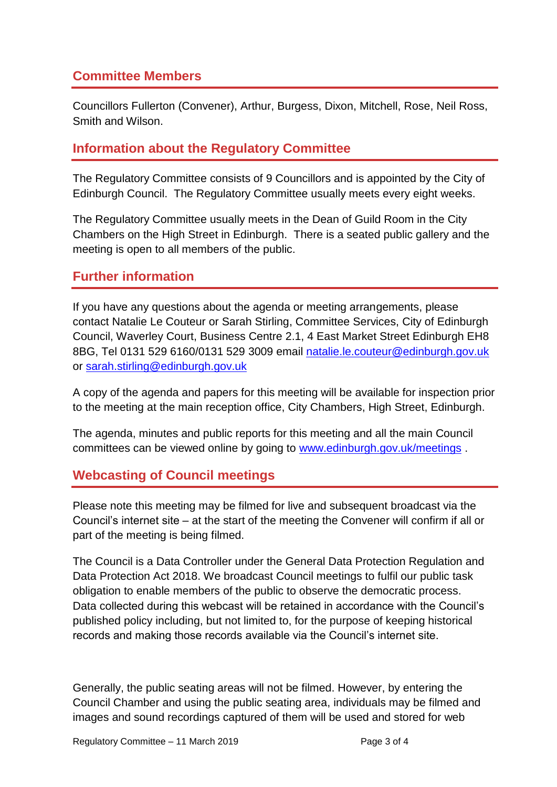#### **Committee Members**

Councillors Fullerton (Convener), Arthur, Burgess, Dixon, Mitchell, Rose, Neil Ross, Smith and Wilson.

#### **Information about the Regulatory Committee**

The Regulatory Committee consists of 9 Councillors and is appointed by the City of Edinburgh Council. The Regulatory Committee usually meets every eight weeks.

The Regulatory Committee usually meets in the Dean of Guild Room in the City Chambers on the High Street in Edinburgh. There is a seated public gallery and the meeting is open to all members of the public.

#### **Further information**

If you have any questions about the agenda or meeting arrangements, please contact Natalie Le Couteur or Sarah Stirling, Committee Services, City of Edinburgh Council, Waverley Court, Business Centre 2.1, 4 East Market Street Edinburgh EH8 8BG, Tel 0131 529 6160/0131 529 3009 email [natalie.le.couteur@edinburgh.gov.uk](mailto:natalie.le.couteur@edinburgh.gov.uk) or [sarah.stirling@edinburgh.gov.uk](mailto:sarah.stirling@edinburgh.gov.uk)

A copy of the agenda and papers for this meeting will be available for inspection prior to the meeting at the main reception office, City Chambers, High Street, Edinburgh.

The agenda, minutes and public reports for this meeting and all the main Council committees can be viewed online by going to [www.edinburgh.gov.uk/meetings](http://www.edinburgh.gov.uk/meetings).

#### **Webcasting of Council meetings**

Please note this meeting may be filmed for live and subsequent broadcast via the Council's internet site – at the start of the meeting the Convener will confirm if all or part of the meeting is being filmed.

The Council is a Data Controller under the General Data Protection Regulation and Data Protection Act 2018. We broadcast Council meetings to fulfil our public task obligation to enable members of the public to observe the democratic process. Data collected during this webcast will be retained in accordance with the Council's published policy including, but not limited to, for the purpose of keeping historical records and making those records available via the Council's internet site.

Generally, the public seating areas will not be filmed. However, by entering the Council Chamber and using the public seating area, individuals may be filmed and images and sound recordings captured of them will be used and stored for web